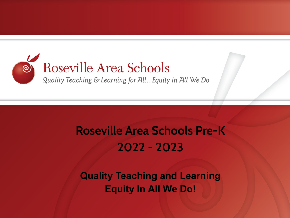

### **Roseville Area Schools Pre-K 2022 - 2023**

**Quality Teaching and Learning Equity In All We Do!**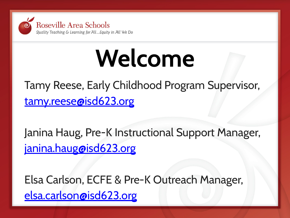

# **Welcome**

Tamy Reese, Early Childhood Program Supervisor, [tamy.reese@isd623.org](mailto:tamy.reese@isd623.org)

Janina Haug, Pre-K Instructional Support Manager, [janina.haug@isd623.org](mailto:janina.haug@isd623.org)

Elsa Carlson, ECFE & Pre-K Outreach Manager, [elsa.carlson@isd623.org](mailto:elsa.carlson@isd623.org)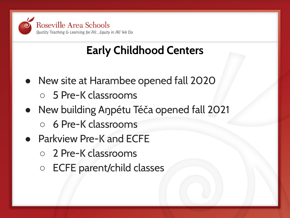

### **Early Childhood Centers**

- New site at Harambee opened fall 2020
	- 5 Pre-K classrooms
- New building Aŋpétu Téča opened fall 2021
	- 6 Pre-K classrooms
- Parkview Pre-K and ECFE
	- 2 Pre-K classrooms
	- ECFE parent/child classes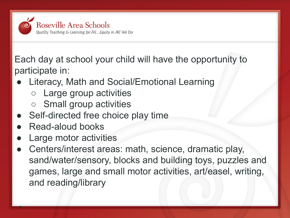

Each day at school your child will have the opportunity to participate in:

- Literacy, Math and Social/Emotional Learning
	- Large group activities
	- Small group activities
- Self-directed free choice play time
- Read-aloud books

●

- **Large motor activities**
- Centers/interest areas: math, science, dramatic play, sand/water/sensory, blocks and building toys, puzzles and games, large and small motor activities, art/easel, writing, and reading/library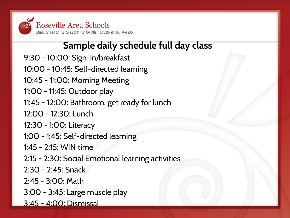

### **Sample daily schedule full day class**

- 9:30 10:00: Sign-in/breakfast
- 10:00 10:45: Self-directed learning
- 10:45 11:00: Morning Meeting
- 11:00 11:45: Outdoor play
- 11:45 12:00: Bathroom, get ready for lunch
- 12:00 12:30: Lunch
- 12:30 1:00: Literacy
- 1:00 1:45: Self-directed learning
- 1:45 2:15: WIN time
- 2:15 2:30: Social Emotional learning activities
- 2:30 2:45: Snack
- 2:45 3:00: Math
- 3:00 3:45: Large muscle play
- 3:45 4:00: Dismissal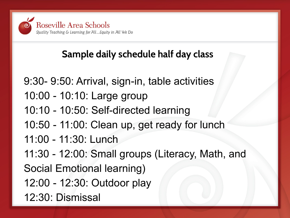

### **Sample daily schedule half day class**

9:30- 9:50: Arrival, sign-in, table activities 10:00 - 10:10: Large group 10:10 - 10:50: Self-directed learning 10:50 - 11:00: Clean up, get ready for lunch 11:00 - 11:30: Lunch 11:30 - 12:00: Small groups (Literacy, Math, and Social Emotional learning) 12:00 - 12:30: Outdoor play 12:30: Dismissal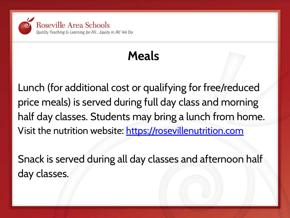

## **Meals**

Lunch (for additional cost or qualifying for free/reduced price meals) is served during full day class and morning half day classes. Students may bring a lunch from home. Visit the nutrition website:<https://rosevillenutrition.com>

Snack is served during all day classes and afternoon half day classes.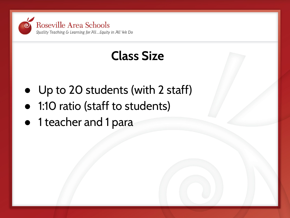

### **Class Size**

- Up to 20 students (with 2 staff)
- 1:10 ratio (staff to students)
- 1 teacher and 1 para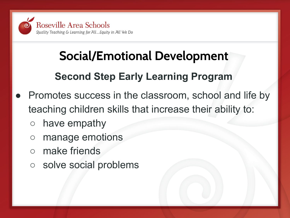

## **Social/Emotional Development**

### **Second Step Early Learning Program**

- Promotes success in the classroom, school and life by teaching children skills that increase their ability to:
	- have empathy
	- manage emotions
	- make friends
	- solve social problems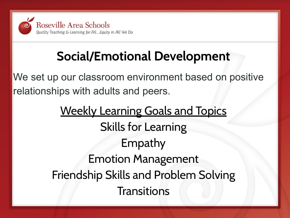

## **Social/Emotional Development**

We set up our classroom environment based on positive relationships with adults and peers.

> Weekly Learning Goals and Topics Skills for Learning Empathy Emotion Management Friendship Skills and Problem Solving **Transitions**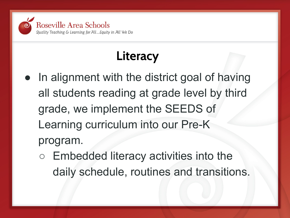

## **Literacy**

- In alignment with the district goal of having all students reading at grade level by third grade, we implement the SEEDS of Learning curriculum into our Pre-K program.
	- Embedded literacy activities into the daily schedule, routines and transitions.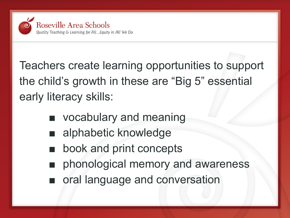

Teachers create learning opportunities to support the child's growth in these are "Big 5" essential early literacy skills:

- vocabulary and meaning
- alphabetic knowledge
- book and print concepts
- phonological memory and awareness
- oral language and conversation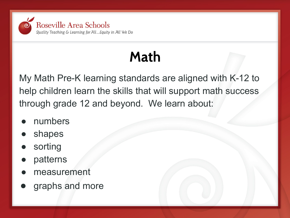

## **Math**

My Math Pre-K learning standards are aligned with K-12 to help children learn the skills that will support math success through grade 12 and beyond. We learn about:

- numbers
- shapes
- sorting
- patterns
- measurement
- graphs and more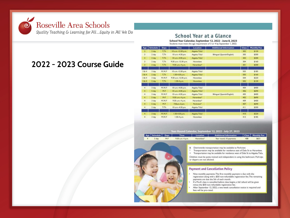

#### School Year at a Glance

School Year Calendar, September 12, 2022 - June 8, 2023 Students must meet the age requirement of 3 or 4 by September 1, 2022.

| Age            | <b>Schedule</b>   | Days    | <b>Time</b>          | Location              | <b>Additional Information</b> | <b>Class</b> | <b>Monthly Fee</b> |
|----------------|-------------------|---------|----------------------|-----------------------|-------------------------------|--------------|--------------------|
| з              | $2 \,$ day        | T.Th    | 10 a.m.-12:30 p.m.   | Anpétu Téča*          |                               | 302          | \$130              |
| 3              | 2 day             | T.Th    | 10 a.m.-4:30 p.m.    | Anpétu Téča*          | Bilingual (Spanish/English)   | 305          | \$300              |
| 3              | $2$ day           | T.Th    | 10 a.m.-4:30 p.m.    | Anpétu Téča*          |                               | 303          | \$300              |
| $\overline{3}$ | $2 \,$ day        | T.Th    | 9:30 a.m.-12:30 p.m. | Harambee              |                               | 304          | \$160              |
| 3              | 2 day             | T.Th    | 9:30 a.m.-4 p.m.     | Harambee*             |                               | 301          | \$300              |
|                |                   |         |                      |                       |                               |              |                    |
| 384            | 3 day             | M.W.F   | 10 a.m.-12:30 p.m.   | Anpetu Teca*          |                               | 503          | \$185              |
| 384            | $2$ day           | T.Th    | 1:30-4:30 p.m.       | Anpétu Téča*          |                               | 505          | \$160              |
| 3 & 4          | 3 day             | M, W, F | 9:30 a.m.-12:30 p.m. | Harambee              |                               | 504          | \$220              |
| 3&4            | $2$ day           | T.Th    | $1:30-4 p.m.$        | Harambee              |                               | 502          | \$130              |
| 4              | 3 day             | M.W.F   | 10 a.m.-4:30 p.m.    | Anpétu Téča*          |                               | 404          | \$400              |
| 4              | 5 day             | $M-F$   | 10 a.m.-4:30 p.m.    | Anpétu Téča*          |                               | 406          | \$690              |
| $\overline{4}$ | 3 day             | M.W.F   | 10 a.m.-4:30 p.m.    | Anpetu Teca*          | Bilingual (Spanish/English)   | 405          | \$400              |
| 4              | 5 day             | $M-F$   | 9:30 a.m.-4 p.m.     | Harambee*             |                               | 402          | \$690              |
| $\overline{4}$ | 3 day             | M.W.F   | 9:30 a.m.-4 p.m.     | Harambee*             |                               | 409          | \$400              |
| $\overline{4}$ | 5 day             | $M-F$   | 7:35a.m - 2 p.m.     | Parkview <sup>4</sup> |                               | 407          | \$690              |
| $\overline{4}$ | $2 \frac{day}{ }$ | T/Th    | 10 a.m.-4:30 p.m.    | Anpétu Téča*          |                               | 411          | \$300              |
| $\overline{4}$ | 3 day             | M.W.F   | 1:30-4:30 p.m.       | Anpétu Téča*          |                               | 410          | \$220              |
| 4              | 3 day             | M.W.F   | $1:30-4 p.m.$        | Harambee              |                               | 413          | \$185              |

#### Year-Round Calendar, September 12, 2022 - July 27, 2023

| Age Schedule Days |     | <b>Time</b>      | Location              | <b>Additional Information</b> |     | Class   Monthly Fee |
|-------------------|-----|------------------|-----------------------|-------------------------------|-----|---------------------|
| 5 day             | M.F | 9:30 a.m.-4 p.m. | Harambee <sup>®</sup> | Year round, 10 payments       | 408 | 5621                |



- & Districtwide transportation may be available to Parkview.
- Transportation may be available for residence east of Dale St to Harambee.  $*$
- + Transportation may be available for residence west of Dale St to Anpétu Téča.

Children must be potty trained and independent in using the bathroom. Pull-Ups or diapers are not allowed.

#### **Payment and Cancellation Policy**

- Nine monthly payments. The first monthly payment is due with the registration along with a \$50 non-refundable registration fee. The remaining payments are due the 5th of each month.
- If a Pre-K class is cancelled before class begins, a full refund will be given minus the \$50 non-refundable registration fee.
- After September 12, 2022, a two-week cancellation notice is required and fees will be pro-rated.

### **2022 - 2023 Course Guide**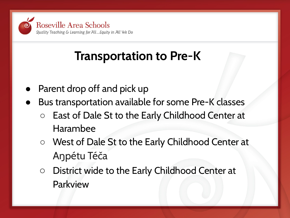

### **Transportation to Pre-K**

- Parent drop off and pick up
- Bus transportation available for some Pre-K classes
	- East of Dale St to the Early Childhood Center at Harambee
	- West of Dale St to the Early Childhood Center at Aŋpétu Téča
	- District wide to the Early Childhood Center at Parkview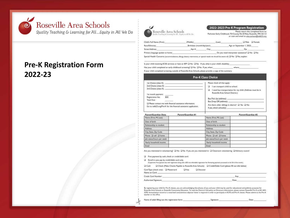

### **Pre-K Registration Form 2022-23**



buility Teaching & Learning for All... Equity in All We Do

2022-2023 Pre-K Program Registration

Please return this completed form to:<br>Parkview Early Childhood, 701 County Rd. B West, Roseville, MN 55113 or scan and email to glsa.carlson@isd623.org

where

| Child's Full Name (First):       | (Middle):                   |       | (Last): | <b>D</b> Female<br>C Male                      |
|----------------------------------|-----------------------------|-------|---------|------------------------------------------------|
| Race/Ethnicity:                  | Birthdate (month/day/year): |       |         | Age on September 1, 2022:                      |
| Street Address:                  | Apt #:                      | City: |         | Zip                                            |
| Primary language spoken at home: |                             |       |         | Do you need interpreter assistance? O No O Yes |

Special Mealth Concerns (accommodations, allergy, dietary restrictions, or special needs we should be aware of):  $\Box$  No  $\Box$  Yes, explain:

Is your child receiving ECSE services or have an IEP? I No II Yes. If yes, what is your child's disability: Has your child completed an early childhood screening? [ No [ ] Yes If yes, when:

If your child completed screening outside of Roseville Area Schools, please provide a copy of the summary.

#### **Pre-K Class Choice**

| Ist Choice (class #):<br>2nd Choice (class #):<br>3rd Choice (class #):                                                        | Please check all that apply:<br>I can transport child to school.                                                          |  |  |
|--------------------------------------------------------------------------------------------------------------------------------|---------------------------------------------------------------------------------------------------------------------------|--|--|
| 1st month payment:<br>Registration fee:<br>\$50<br>Total Due:                                                                  | I need bus transportation for my child. (Address must be in<br>Roseville Area School District.)<br>Bus Pick Up (address): |  |  |
| I Please contact me with financial assistance information.<br>Go to isd623.org/Pre-K for the financial assistance application. | Bus Drop Off (address):<br>Are there older siblings in district? Q Yes Q No<br>If yes, which school(s):                   |  |  |

| Parent/Guardian Data      | Parent/Guardian #1 |                           | Parent/Guardian #2 |
|---------------------------|--------------------|---------------------------|--------------------|
| Name (First, MI, Last)    |                    | Name (First, MI, Last)    |                    |
| Date of birth             |                    | Date of birth             |                    |
| Relationship to student   |                    | Relationship to student   |                    |
| Address                   |                    | Address                   |                    |
| City, State, Zip Code     |                    | City, State, Zip Code     |                    |
| Phone Q cell Q home       |                    | Phone D cell D home       |                    |
| Job status/hours per week |                    | Job status/hours per week |                    |
| Yearly household income   |                    | Yearly household income   |                    |
| Email                     |                    | Email                     |                    |

Are you interested in volunteering? O No O Yes If yes, are you interested in: O Classroom volunteering O Advisory council

D First payment by cash, check or credit/debit card.

 $\square$  Enroll in auto pay by credit/debit card only.

(9 payments. First payment due with registration along with a \$50 non-refundable registration fee. Remaining payments processed on the 5th of the month.)

 $D$  Cash Q Check (Make Checks Payable to Roseville Area Schools) Q Credit/Debit Card (please fill out info below)

Card Type (check one): Q Mastercard **Q** Visa **Q** Discover  $\mathbf{r}$  $\sim$   $\sim$ 

| IName on Card:        |     |
|-----------------------|-----|
| Credit Card Number:   | Exp |
| Authorized Signature: | Dat |

By registering your child for Pre-K classes, you are acknowledging that photos of you and your child may be used for educational and publicity purposes for Roseville Area Schools or Roseville Community Education. To read the District's full policy on Directory Information, please contact Roseville Pre-K at 651-604-3578. Immunization record or a notarized conscientious objector letter is required in order to participate in ECFE and Pre-K classes. Please submit to the Pre-K teacher or the office.

| Name of adult filling out this registration form: | Stenatur | <b>Date</b> |
|---------------------------------------------------|----------|-------------|
|                                                   |          |             |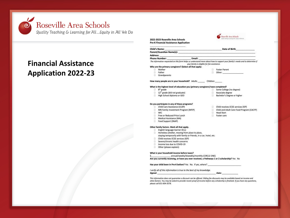

### **Financial Assistance Application 2022-23**

|    | <b>Pre-K Financial Assistance Application</b>                                                                                                                                                                                  |                                             |        |                                                                                                                                                                                                                                      |
|----|--------------------------------------------------------------------------------------------------------------------------------------------------------------------------------------------------------------------------------|---------------------------------------------|--------|--------------------------------------------------------------------------------------------------------------------------------------------------------------------------------------------------------------------------------------|
|    | <b>Child's Name:</b>                                                                                                                                                                                                           |                                             |        | <b>Example 20 In the United States of Birth Contract Contract Contract Contract Contract Contract Contract Contract Contract Contract Contract Contract Contract Contract Contract Contract Contract Contract Contract Contract </b> |
|    | Parent/Guardian Name(s): Name (s) and the contract of the contract of the contract of the contract of the contract of the contract of the contract of the contract of the contract of the contract of the contract of the cont |                                             |        |                                                                                                                                                                                                                                      |
|    | Address: Analysis and the contract of the contract of the contract of the contract of the contract of the contract of the contract of the contract of the contract of the contract of the contract of the contract of the cont |                                             |        |                                                                                                                                                                                                                                      |
|    | Phone Number: Email:                                                                                                                                                                                                           |                                             |        |                                                                                                                                                                                                                                      |
|    |                                                                                                                                                                                                                                |                                             |        | The information requested on this form helps us understand more about how to support your family's needs and to determine if                                                                                                         |
|    |                                                                                                                                                                                                                                | your family is eligible for fee assistance. |        |                                                                                                                                                                                                                                      |
|    | Who are the primary caregivers? (Select all that apply:                                                                                                                                                                        |                                             |        |                                                                                                                                                                                                                                      |
|    | Mother                                                                                                                                                                                                                         |                                             |        | Foster Parent                                                                                                                                                                                                                        |
|    | Father                                                                                                                                                                                                                         |                                             |        |                                                                                                                                                                                                                                      |
|    | Grandparents                                                                                                                                                                                                                   |                                             |        |                                                                                                                                                                                                                                      |
|    | How many people are in your household? Adults Children                                                                                                                                                                         |                                             |        |                                                                                                                                                                                                                                      |
|    |                                                                                                                                                                                                                                |                                             |        |                                                                                                                                                                                                                                      |
|    | What is the highest level of education you (primary caregivers) have completed?                                                                                                                                                |                                             |        |                                                                                                                                                                                                                                      |
|    | $\Box$ 8 <sup>th</sup> grade                                                                                                                                                                                                   |                                             | Ω.     | Some College (no degree)                                                                                                                                                                                                             |
|    | $\Box$ 12 <sup>th</sup> grade (did not graduate)                                                                                                                                                                               |                                             | . E .  | Associate degree                                                                                                                                                                                                                     |
|    | High School diploma or GED                                                                                                                                                                                                     |                                             | $\Box$ | Bachelor's Degree or higher                                                                                                                                                                                                          |
|    |                                                                                                                                                                                                                                |                                             |        |                                                                                                                                                                                                                                      |
|    | Do you participate in any of these programs?                                                                                                                                                                                   |                                             |        |                                                                                                                                                                                                                                      |
| o. | Child Care Assistance (CCAP)                                                                                                                                                                                                   |                                             |        | Child receives ECSE services (IEP)                                                                                                                                                                                                   |
| n. | MN Family Investment Program (MFIP)                                                                                                                                                                                            |                                             | $\Box$ | Child and Adult Care Food Program (CACFP)                                                                                                                                                                                            |
|    | $\neg$ wic                                                                                                                                                                                                                     |                                             |        | Head Start                                                                                                                                                                                                                           |
|    | Free or Reduced-Price Lunch                                                                                                                                                                                                    |                                             |        | Foster care                                                                                                                                                                                                                          |
|    | Medical Assistance (MA)                                                                                                                                                                                                        |                                             |        |                                                                                                                                                                                                                                      |
|    | Food Support (SNAP)                                                                                                                                                                                                            |                                             |        |                                                                                                                                                                                                                                      |
|    | Other family factors. Mark all that apply.                                                                                                                                                                                     |                                             |        |                                                                                                                                                                                                                                      |
| o. | English language learner (ELL)                                                                                                                                                                                                 |                                             |        |                                                                                                                                                                                                                                      |
|    | Homeless (shelter, moving from place to place,                                                                                                                                                                                 |                                             |        |                                                                                                                                                                                                                                      |
|    | staying temporarily with family or friends, in a car, hotel, etc.                                                                                                                                                              |                                             |        |                                                                                                                                                                                                                                      |
|    | Child receives ECSE services (IEP)                                                                                                                                                                                             |                                             |        |                                                                                                                                                                                                                                      |
|    | Severe/chronic health concerns                                                                                                                                                                                                 |                                             |        |                                                                                                                                                                                                                                      |
|    | □ Income loss due to COVID-19                                                                                                                                                                                                  |                                             |        |                                                                                                                                                                                                                                      |
|    | Other (please explain):                                                                                                                                                                                                        |                                             |        |                                                                                                                                                                                                                                      |
|    | What is your household income before taxes?                                                                                                                                                                                    |                                             |        |                                                                                                                                                                                                                                      |
|    |                                                                                                                                                                                                                                |                                             |        |                                                                                                                                                                                                                                      |
|    | Are you currently receiving, or have you ever received, a Pathways 1 or 2 scholarship? Yes No                                                                                                                                  |                                             |        |                                                                                                                                                                                                                                      |
|    | Has your child been in Pre-K before? Yes No. If yes, where?                                                                                                                                                                    |                                             |        |                                                                                                                                                                                                                                      |
|    |                                                                                                                                                                                                                                |                                             |        |                                                                                                                                                                                                                                      |
|    | I verify all of this information is true to the best of my knowledge.                                                                                                                                                          |                                             |        |                                                                                                                                                                                                                                      |
|    | Signed: Date: Determine the contract of the contract of the contract of the contract of the contract of the contract of the contract of the contract of the contract of the contract of the contract of the contract of the co |                                             |        |                                                                                                                                                                                                                                      |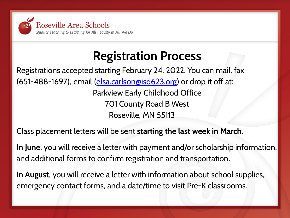

### **Registration Process**

Registrations accepted starting February 24, 2022. You can mail, fax (651-488-1697), email [\(elsa.carlson@isd623.org\)](mailto:elsa.carlson@isd623.org) or drop it off at: Parkview Early Childhood Office 701 County Road B West Roseville, MN 55113

### Class placement letters will be sent **starting the last week in March**.

**In June**, you will receive a letter with payment and/or scholarship information, and additional forms to confirm registration and transportation.

**In August**, you will receive a letter with information about school supplies, emergency contact forms, and a date/time to visit Pre-K classrooms.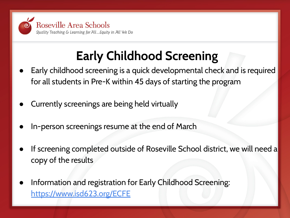

## **Early Childhood Screening**

- Early childhood screening is a quick developmental check and is required for all students in Pre-K within 45 days of starting the program
- Currently screenings are being held virtually
- In-person screenings resume at the end of March
- If screening completed outside of Roseville School district, we will need a copy of the results
- Information and registration for Early Childhood Screening: [https://www.isd623.org/ECF](https://www.isd623.org/community/community-ed/birth-age-5/early-childhood-screening)E